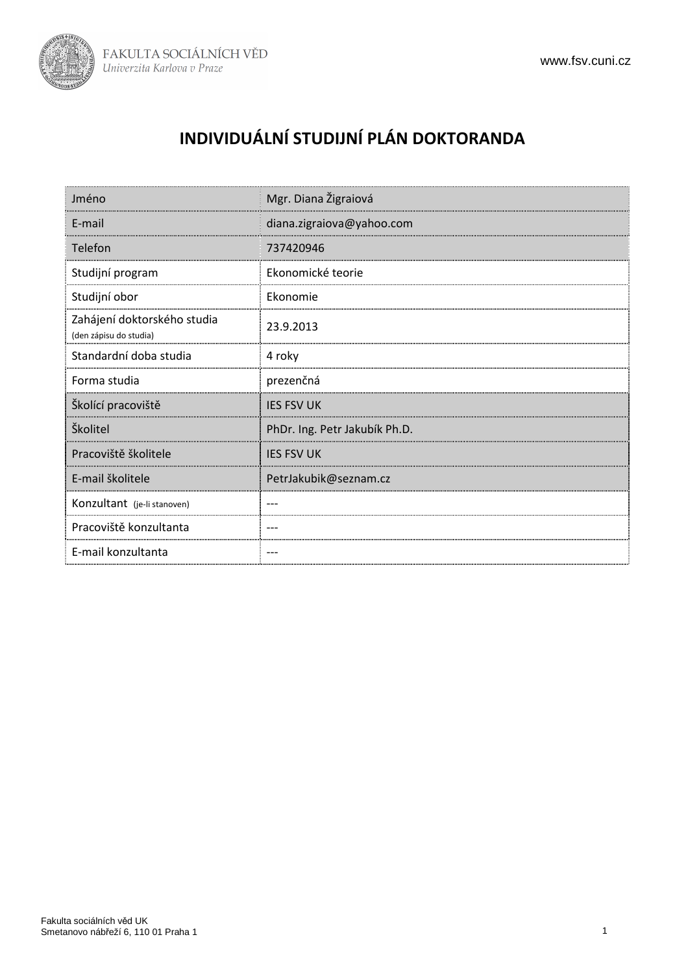

# **INDIVIDUÁLNÍ STUDIJNÍ PLÁN DOKTORANDA**

| Jméno                                                 | Mgr. Diana Žigraiová          |
|-------------------------------------------------------|-------------------------------|
| E-mail                                                | diana.zigraiova@yahoo.com     |
| Telefon                                               | 737420946                     |
| Studijní program                                      | Ekonomické teorie             |
| Studijní obor                                         | Ekonomie                      |
| Zahájení doktorského studia<br>(den zápisu do studia) | 23.9.2013                     |
| Standardní doba studia                                | 4 roky                        |
| Forma studia                                          | prezenčná                     |
| Školící pracoviště                                    | <b>IES FSV UK</b>             |
| Školitel                                              | PhDr. Ing. Petr Jakubík Ph.D. |
| Pracoviště školitele                                  | <b>IES FSV UK</b>             |
| E-mail školitele                                      | PetrJakubik@seznam.cz         |
| Konzultant (je-li stanoven)                           |                               |
| Pracoviště konzultanta                                |                               |
| E-mail konzultanta                                    |                               |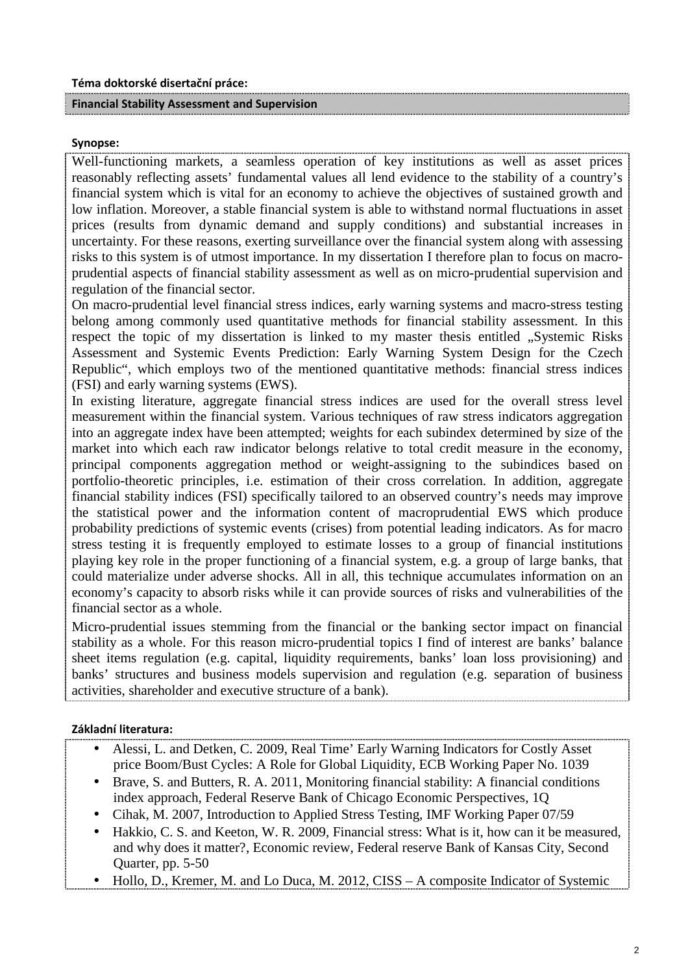#### **Financial Stability Assessment and Supervision**

#### **Synopse:**

Well-functioning markets, a seamless operation of key institutions as well as asset prices reasonably reflecting assets' fundamental values all lend evidence to the stability of a country's financial system which is vital for an economy to achieve the objectives of sustained growth and low inflation. Moreover, a stable financial system is able to withstand normal fluctuations in asset prices (results from dynamic demand and supply conditions) and substantial increases in uncertainty. For these reasons, exerting surveillance over the financial system along with assessing risks to this system is of utmost importance. In my dissertation I therefore plan to focus on macroprudential aspects of financial stability assessment as well as on micro-prudential supervision and regulation of the financial sector.

On macro-prudential level financial stress indices, early warning systems and macro-stress testing belong among commonly used quantitative methods for financial stability assessment. In this respect the topic of my dissertation is linked to my master thesis entitled . Systemic Risks Assessment and Systemic Events Prediction: Early Warning System Design for the Czech Republic", which employs two of the mentioned quantitative methods: financial stress indices (FSI) and early warning systems (EWS).

In existing literature, aggregate financial stress indices are used for the overall stress level measurement within the financial system. Various techniques of raw stress indicators aggregation into an aggregate index have been attempted; weights for each subindex determined by size of the market into which each raw indicator belongs relative to total credit measure in the economy, principal components aggregation method or weight-assigning to the subindices based on portfolio-theoretic principles, i.e. estimation of their cross correlation. In addition, aggregate financial stability indices (FSI) specifically tailored to an observed country's needs may improve the statistical power and the information content of macroprudential EWS which produce probability predictions of systemic events (crises) from potential leading indicators. As for macro stress testing it is frequently employed to estimate losses to a group of financial institutions playing key role in the proper functioning of a financial system, e.g. a group of large banks, that could materialize under adverse shocks. All in all, this technique accumulates information on an economy's capacity to absorb risks while it can provide sources of risks and vulnerabilities of the financial sector as a whole.

Micro-prudential issues stemming from the financial or the banking sector impact on financial stability as a whole. For this reason micro-prudential topics I find of interest are banks' balance sheet items regulation (e.g. capital, liquidity requirements, banks' loan loss provisioning) and banks' structures and business models supervision and regulation (e.g. separation of business activities, shareholder and executive structure of a bank).

#### **Základní literatura:**

- Alessi, L. and Detken, C. 2009, Real Time' Early Warning Indicators for Costly Asset price Boom/Bust Cycles: A Role for Global Liquidity, ECB Working Paper No. 1039
- Brave, S. and Butters, R. A. 2011, Monitoring financial stability: A financial conditions index approach, Federal Reserve Bank of Chicago Economic Perspectives, 1Q
- Cihak, M. 2007, Introduction to Applied Stress Testing, IMF Working Paper 07/59
- Hakkio, C. S. and Keeton, W. R. 2009, Financial stress: What is it, how can it be measured, and why does it matter?, Economic review, Federal reserve Bank of Kansas City, Second Quarter, pp. 5-50
- Hollo, D., Kremer, M. and Lo Duca, M. 2012, CISS A composite Indicator of Systemic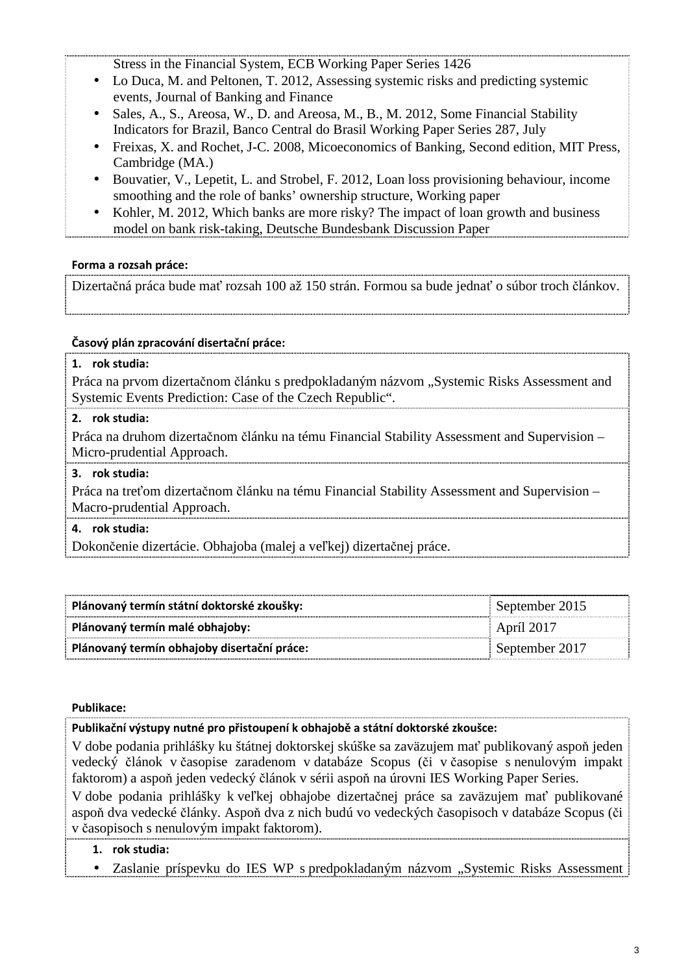Stress in the Financial System, ECB Working Paper Series 1426

- Lo Duca, M. and Peltonen, T. 2012, Assessing systemic risks and predicting systemic events, Journal of Banking and Finance
- Sales, A., S., Areosa, W., D. and Areosa, M., B., M. 2012, Some Financial Stability Indicators for Brazil, Banco Central do Brasil Working Paper Series 287, July
- Freixas, X. and Rochet, J-C. 2008, Micoeconomics of Banking, Second edition, MIT Press, Cambridge (MA.)
- Bouvatier, V., Lepetit, L. and Strobel, F. 2012, Loan loss provisioning behaviour, income smoothing and the role of banks' ownership structure, Working paper
- Kohler, M. 2012, Which banks are more risky? The impact of loan growth and business model on bank risk-taking, Deutsche Bundesbank Discussion Paper

## **Forma a rozsah práce:**

Dizertačná práca bude mať rozsah 100 až 150 strán. Formou sa bude jednať o súbor troch článkov.

## **Časový plán zpracování disertační práce:**

## **1. rok studia:**  Práca na prvom dizertačnom článku s predpokladaným názvom "Systemic Risks Assessment and Systemic Events Prediction: Case of the Czech Republic". **2. rok studia:**  Práca na druhom dizertačnom článku na tému Financial Stability Assessment and Supervision – Micro-prudential Approach. **3. rok studia:**  Práca na treťom dizertačnom článku na tému Financial Stability Assessment and Supervision – Macro-prudential Approach. **4. rok studia:**  Dokončenie dizertácie. Obhajoba (malej a veľkej) dizertačnej práce.

| Plánovaný termín státní doktorské zkoušky:  | September 2015    |
|---------------------------------------------|-------------------|
| Plánovaný termín malé obhajoby:             | <b>April 2017</b> |
| Plánovaný termín obhajoby disertační práce: | September 2017    |

#### **Publikace:**

**Publikační výstupy nutné pro přistoupení k obhajobě a státní doktorské zkoušce:**

V dobe podania prihlášky ku štátnej doktorskej skúške sa zaväzujem mať publikovaný aspoň jeden vedecký článok v časopise zaradenom v databáze Scopus (či v časopise s nenulovým impakt faktorom) a aspoň jeden vedecký článok v sérii aspoň na úrovni IES Working Paper Series. V dobe podania prihlášky k veľkej obhajobe dizertačnej práce sa zaväzujem mať publikované aspoň dva vedecké články. Aspoň dva z nich budú vo vedeckých časopisoch v databáze Scopus (či v časopisoch s nenulovým impakt faktorom).

## **1. rok studia:**

• Zaslanie príspevku do IES WP s predpokladaným názvom "Systemic Risks Assessment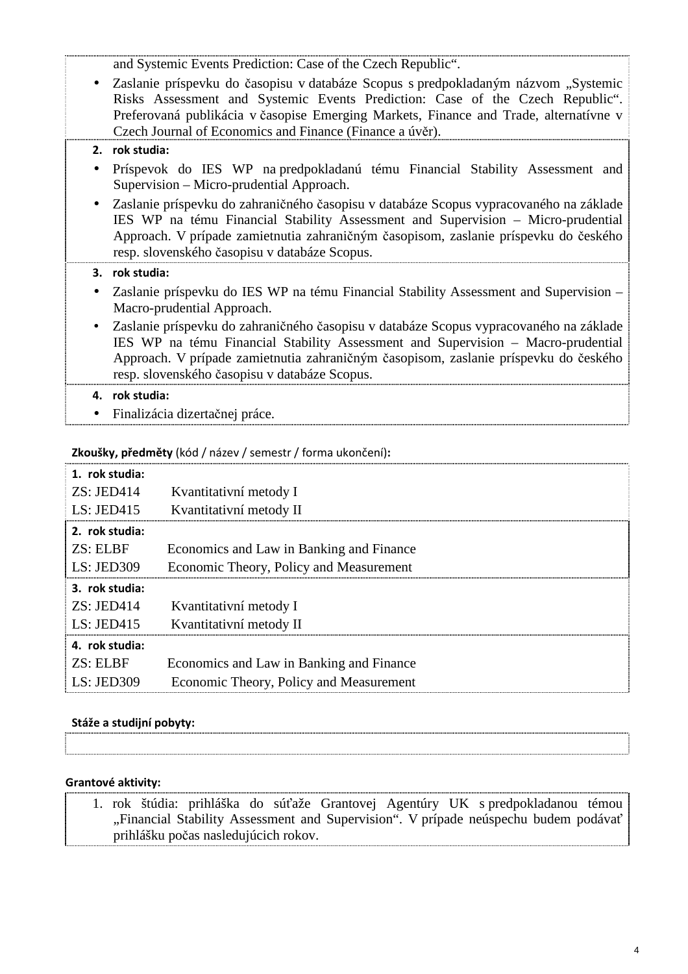and Systemic Events Prediction: Case of the Czech Republic".

• Zaslanie príspevku do časopisu v databáze Scopus s predpokladaným názvom "Systemic Risks Assessment and Systemic Events Prediction: Case of the Czech Republic". Preferovaná publikácia v časopise Emerging Markets, Finance and Trade, alternatívne v Czech Journal of Economics and Finance (Finance a úvěr).

## **2. rok studia:**

- Príspevok do IES WP na predpokladanú tému Financial Stability Assessment and Supervision – Micro-prudential Approach.
- Zaslanie príspevku do zahraničného časopisu v databáze Scopus vypracovaného na základe IES WP na tému Financial Stability Assessment and Supervision – Micro-prudential Approach. V prípade zamietnutia zahraničným časopisom, zaslanie príspevku do českého resp. slovenského časopisu v databáze Scopus.

#### **3. rok studia:**

- Zaslanie príspevku do IES WP na tému Financial Stability Assessment and Supervision Macro-prudential Approach.
- Zaslanie príspevku do zahraničného časopisu v databáze Scopus vypracovaného na základe IES WP na tému Financial Stability Assessment and Supervision – Macro-prudential Approach. V prípade zamietnutia zahraničným časopisom, zaslanie príspevku do českého resp. slovenského časopisu v databáze Scopus.

## **4. rok studia:**

• Finalizácia dizertačnej práce.

#### **Zkoušky, předměty** (kód / název / semestr / forma ukončení)**:**

| 1. rok studia: |                                          |
|----------------|------------------------------------------|
| ZS: JED414     | Kvantitativní metody I                   |
| LS: JED $415$  | Kvantitativní metody II                  |
| 2. rok studia: |                                          |
| ZS: ELRF       | Economics and Law in Banking and Finance |
| LS: JED309     | Economic Theory, Policy and Measurement  |
| 3. rok studia: |                                          |
| ZS: JED414     | Kvantitativní metody I                   |
| LS: JED $415$  | Kvantitativní metody II                  |
| 4. rok studia: |                                          |
| ZS: ELBF       | Economics and Law in Banking and Finance |
| LS: JED309     | Economic Theory, Policy and Measurement  |

#### **Stáže a studijní pobyty:**

#### **Grantové aktivity:**

1. rok štúdia: prihláška do súťaže Grantovej Agentúry UK s predpokladanou témou "Financial Stability Assessment and Supervision". V prípade neúspechu budem podávať prihlášku počas nasledujúcich rokov.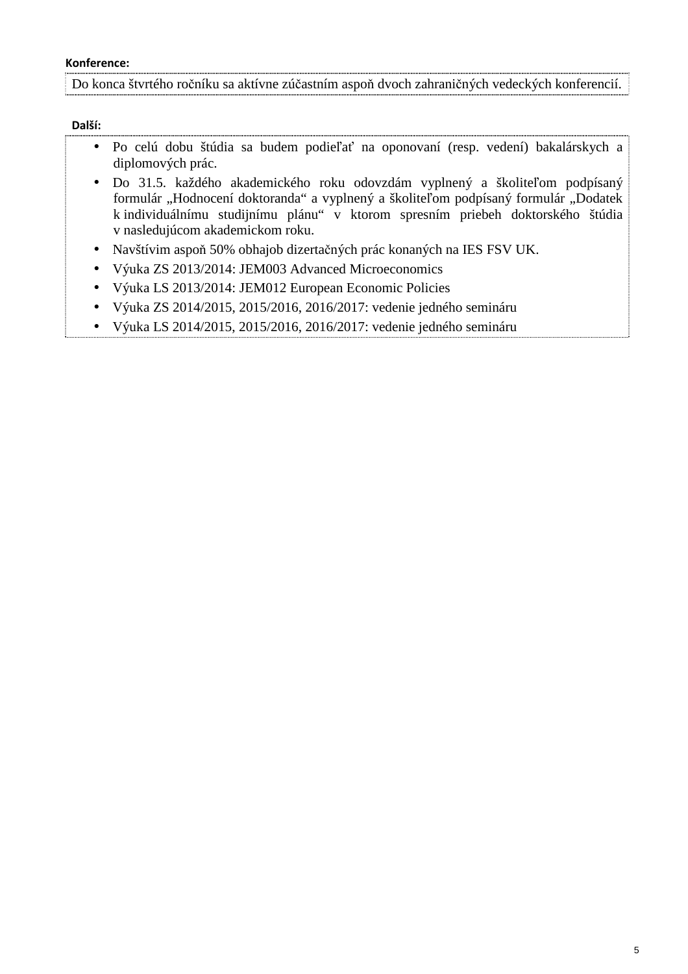#### **Konference:**

Do konca štvrtého ročníku sa aktívne zúčastním aspoň dvoch zahraničných vedeckých konferencií.

#### **Další:**

- Po celú dobu štúdia sa budem podieľať na oponovaní (resp. vedení) bakalárskych a diplomových prác.
- Do 31.5. každého akademického roku odovzdám vyplnený a školiteľom podpísaný formulár "Hodnocení doktoranda" a vyplnený a školiteľom podpísaný formulár "Dodatek k individuálnímu studijnímu plánu" v ktorom spresním priebeh doktorského štúdia v nasledujúcom akademickom roku.
- Navštívim aspoň 50% obhajob dizertačných prác konaných na IES FSV UK.
- Výuka ZS 2013/2014: JEM003 Advanced Microeconomics
- Výuka LS 2013/2014: JEM012 European Economic Policies
- Výuka ZS 2014/2015, 2015/2016, 2016/2017: vedenie jedného semináru
- Výuka LS 2014/2015, 2015/2016, 2016/2017: vedenie jedného semináru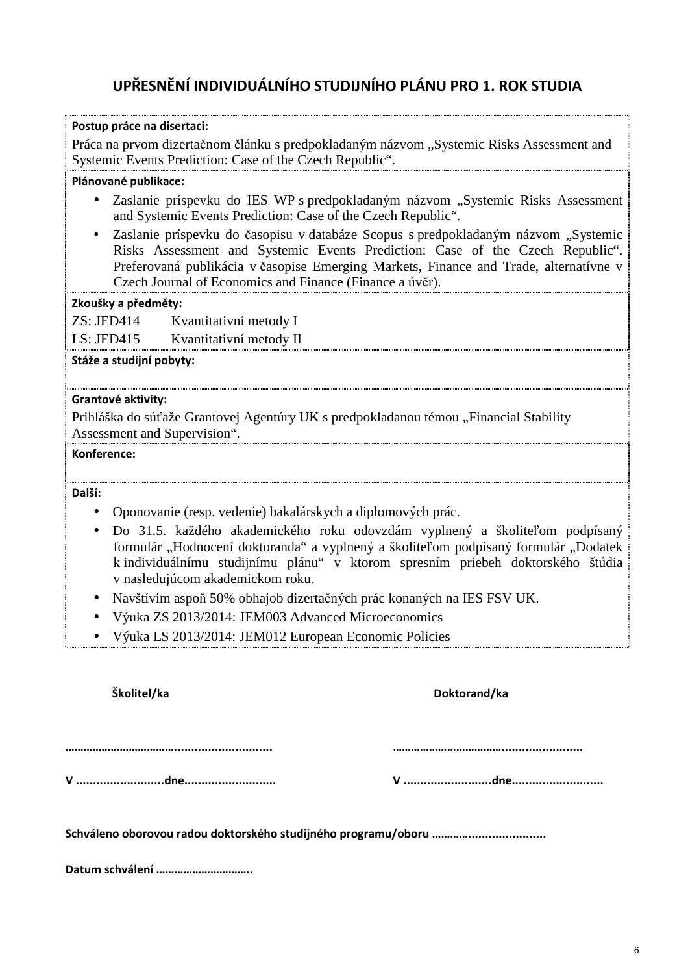## **UPŘESNĚNÍ INDIVIDUÁLNÍHO STUDIJNÍHO PLÁNU PRO 1. ROK STUDIA**

| Postup práce na disertaci:                                                                                                                                                                                                                                                                                                            |
|---------------------------------------------------------------------------------------------------------------------------------------------------------------------------------------------------------------------------------------------------------------------------------------------------------------------------------------|
| Práca na prvom dizertačnom článku s predpokladaným názvom "Systemic Risks Assessment and<br>Systemic Events Prediction: Case of the Czech Republic".                                                                                                                                                                                  |
| Plánované publikace:                                                                                                                                                                                                                                                                                                                  |
| Zaslanie príspevku do IES WP s predpokladaným názvom "Systemic Risks Assessment<br>$\bullet$<br>and Systemic Events Prediction: Case of the Czech Republic".                                                                                                                                                                          |
| Zaslanie príspevku do časopisu v databáze Scopus s predpokladaným názvom "Systemic<br>$\bullet$<br>Risks Assessment and Systemic Events Prediction: Case of the Czech Republic".<br>Preferovaná publikácia v časopise Emerging Markets, Finance and Trade, alternatívne v<br>Czech Journal of Economics and Finance (Finance a úvěr). |
| Zkoušky a předměty:                                                                                                                                                                                                                                                                                                                   |
| ZS: JED414 Kvantitativní metody I                                                                                                                                                                                                                                                                                                     |
| LS: JED415 Kvantitativní metody II                                                                                                                                                                                                                                                                                                    |
| Stáže a studijní pobyty:                                                                                                                                                                                                                                                                                                              |
| Grantové aktivity:<br>Prihláška do súťaže Grantovej Agentúry UK s predpokladanou témou "Financial Stability<br>Assessment and Supervision".                                                                                                                                                                                           |
| Konference:                                                                                                                                                                                                                                                                                                                           |
| Další:                                                                                                                                                                                                                                                                                                                                |
| Oponovanie (resp. vedenie) bakalárskych a diplomových prác.<br>$\bullet$                                                                                                                                                                                                                                                              |
| Do 31.5. každého akademického roku odovzdám vyplnený a školiteľom podpísaný<br>$\bullet$<br>formulár "Hodnocení doktoranda" a vyplnený a školiteľom podpísaný formulár "Dodatek<br>k individuálnímu studijnímu plánu" v ktorom spresním priebeh doktorského štúdia<br>v nasledujúcom akademickom roku.                                |
| Navštívim aspoň 50% obhajob dizertačných prác konaných na IES FSV UK.                                                                                                                                                                                                                                                                 |
| Výuka ZS 2013/2014: JEM003 Advanced Microeconomics                                                                                                                                                                                                                                                                                    |
| Výuka LS 2013/2014: JEM012 European Economic Policies                                                                                                                                                                                                                                                                                 |
| Školitel/ka<br>Doktorand/ka                                                                                                                                                                                                                                                                                                           |
|                                                                                                                                                                                                                                                                                                                                       |
|                                                                                                                                                                                                                                                                                                                                       |
|                                                                                                                                                                                                                                                                                                                                       |
|                                                                                                                                                                                                                                                                                                                                       |
| Datum schválení                                                                                                                                                                                                                                                                                                                       |